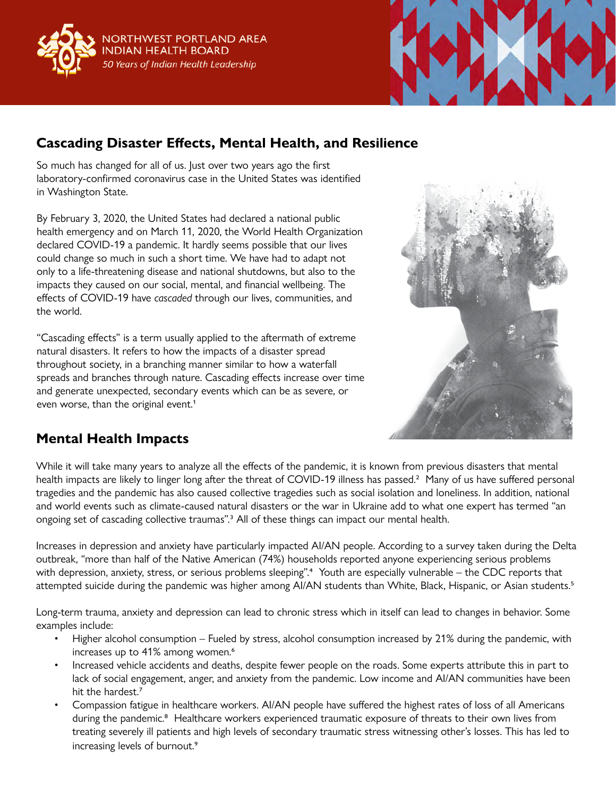



# **Cascading Disaster Effects, Mental Health, and Resilience**

So much has changed for all of us. Just over two years ago the first laboratory-confirmed coronavirus case in the United States was identified in Washington State.

By February 3, 2020, the United States had declared a national public health emergency and on March 11, 2020, the World Health Organization declared COVID-19 a pandemic. It hardly seems possible that our lives could change so much in such a short time. We have had to adapt not only to a life-threatening disease and national shutdowns, but also to the impacts they caused on our social, mental, and financial wellbeing. The effects of COVID-19 have *cascaded* through our lives, communities, and the world.

"Cascading effects" is a term usually applied to the aftermath of extreme natural disasters. It refers to how the impacts of a disaster spread throughout society, in a branching manner similar to how a waterfall spreads and branches through nature. Cascading effects increase over time and generate unexpected, secondary events which can be as severe, or even worse, than the original event.<sup>1</sup>



## **Mental Health Impacts**

While it will take many years to analyze all the effects of the pandemic, it is known from previous disasters that mental health impacts are likely to linger long after the threat of COVID-19 illness has passed.<sup>2</sup> Many of us have suffered personal tragedies and the pandemic has also caused collective tragedies such as social isolation and loneliness. In addition, national and world events such as climate-caused natural disasters or the war in Ukraine add to what one expert has termed "an ongoing set of cascading collective traumas".3 All of these things can impact our mental health.

Increases in depression and anxiety have particularly impacted AI/AN people. According to a survey taken during the Delta outbreak, "more than half of the Native American (74%) households reported anyone experiencing serious problems with depression, anxiety, stress, or serious problems sleeping".<sup>4</sup> Youth are especially vulnerable – the CDC reports that attempted suicide during the pandemic was higher among AI/AN students than White, Black, Hispanic, or Asian students.<sup>5</sup>

Long-term trauma, anxiety and depression can lead to chronic stress which in itself can lead to changes in behavior. Some examples include:

- Higher alcohol consumption Fueled by stress, alcohol consumption increased by 21% during the pandemic, with increases up to 41% among women.<sup>6</sup>
- Increased vehicle accidents and deaths, despite fewer people on the roads. Some experts attribute this in part to lack of social engagement, anger, and anxiety from the pandemic. Low income and AI/AN communities have been hit the hardest.<sup>7</sup>
- Compassion fatigue in healthcare workers. AI/AN people have suffered the highest rates of loss of all Americans during the pandemic.<sup>8</sup> Healthcare workers experienced traumatic exposure of threats to their own lives from treating severely ill patients and high levels of secondary traumatic stress witnessing other's losses. This has led to increasing levels of burnout.<sup>9</sup>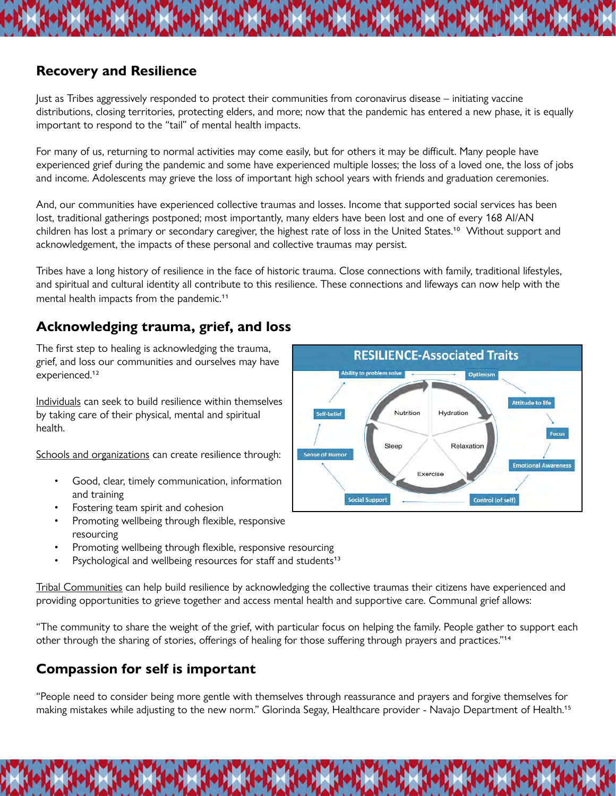#### **Recovery and Resilience**

Just as Tribes aggressively responded to protect their communities from coronavirus disease – initiating vaccine distributions, closing territories, protecting elders, and more; now that the pandemic has entered a new phase, it is equally important to respond to the "tail" of mental health impacts.

For many of us, returning to normal activities may come easily, but for others it may be difficult. Many people have experienced grief during the pandemic and some have experienced multiple losses; the loss of a loved one, the loss of jobs and income. Adolescents may grieve the loss of important high school years with friends and graduation ceremonies.

And, our communities have experienced collective traumas and losses. Income that supported social services has been lost, traditional gatherings postponed; most importantly, many elders have been lost and one of every 168 AI/AN children has lost a primary or secondary caregiver, the highest rate of loss in the United States.10 Without support and acknowledgement, the impacts of these personal and collective traumas may persist.

Tribes have a long history of resilience in the face of historic trauma. Close connections with family, traditional lifestyles, and spiritual and cultural identity all contribute to this resilience. These connections and lifeways can now help with the mental health impacts from the pandemic.<sup>11</sup>

### **Acknowledging trauma, grief, and loss**

The first step to healing is acknowledging the trauma, grief, and loss our communities and ourselves may have experienced.<sup>12</sup>

Individuals can seek to build resilience within themselves by taking care of their physical, mental and spiritual health.

Schools and organizations can create resilience through:

- Good, clear, timely communication, information and training
- Fostering team spirit and cohesion
- Promoting wellbeing through flexible, responsive resourcing
- Promoting wellbeing through flexible, responsive resourcing
- Psychological and wellbeing resources for staff and students<sup>13</sup>

Tribal Communities can help build resilience by acknowledging the collective traumas their citizens have experienced and providing opportunities to grieve together and access mental health and supportive care. Communal grief allows:

"The community to share the weight of the grief, with particular focus on helping the family. People gather to support each other through the sharing of stories, offerings of healing for those suffering through prayers and practices."14

### **Compassion for self is important**

"People need to consider being more gentle with themselves through reassurance and prayers and forgive themselves for making mistakes while adjusting to the new norm." Glorinda Segay, Healthcare provider - Navajo Department of Health.15